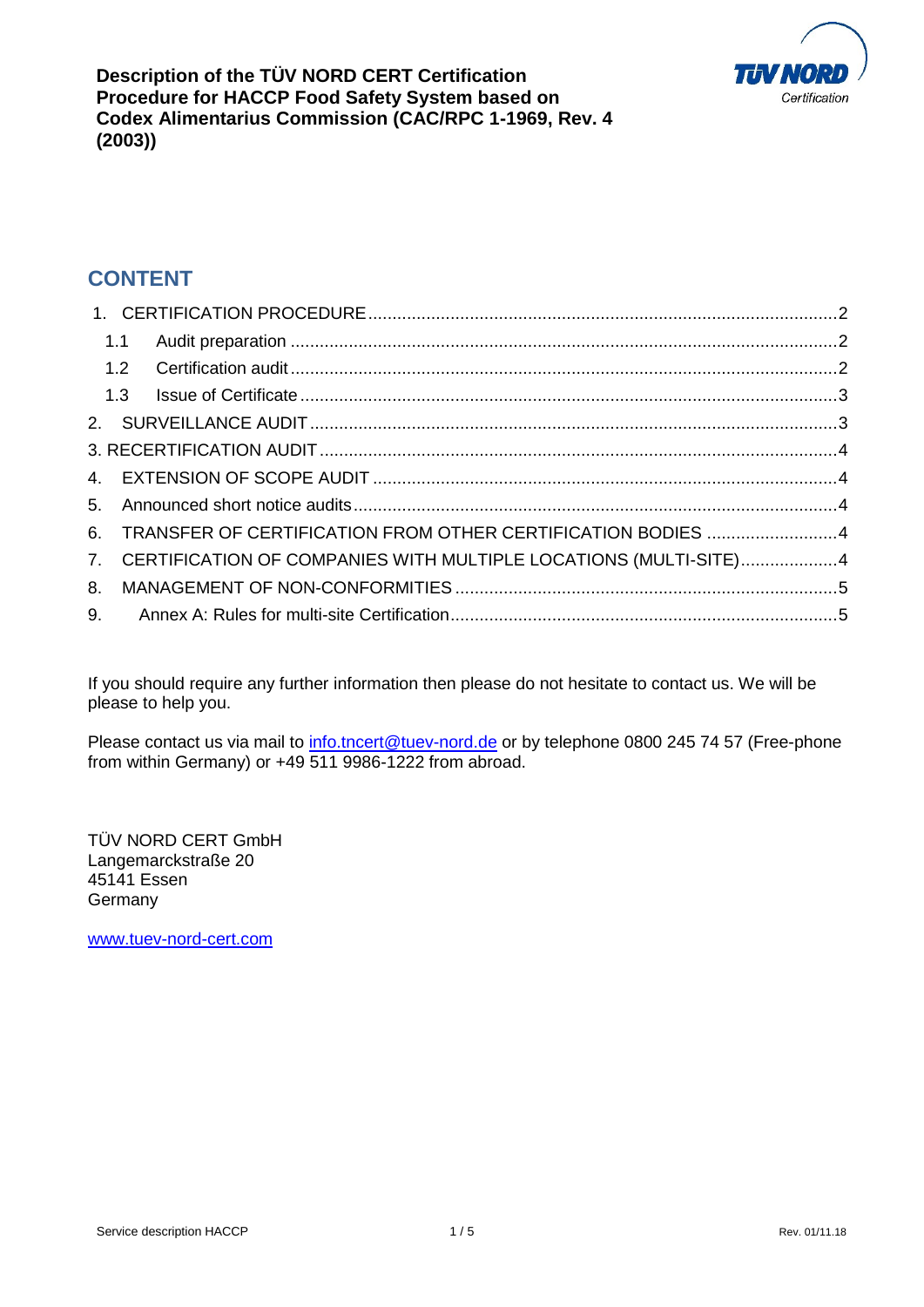

**Description of the TÜV NORD CERT Certification Procedure for HACCP Food Safety System based on Codex Alimentarius Commission (CAC/RPC 1-1969, Rev. 4 (2003))**

# **CONTENT**

|  | 6. TRANSFER OF CERTIFICATION FROM OTHER CERTIFICATION BODIES 4      |  |
|--|---------------------------------------------------------------------|--|
|  | 7. CERTIFICATION OF COMPANIES WITH MULTIPLE LOCATIONS (MULTI-SITE)4 |  |
|  |                                                                     |  |
|  |                                                                     |  |

If you should require any further information then please do not hesitate to contact us. We will be please to help you.

Please contact us via mail to [info.tncert@tuev-nord.de](mailto:info.tncert@tuev-nord.de) or by telephone 0800 245 74 57 (Free-phone from within Germany) or +49 511 9986-1222 from abroad.

TÜV NORD CERT GmbH Langemarckstraße 20 45141 Essen **Germany** 

[www.tuev-nord-cert.com](http://www.tuev-nord-cert.com/)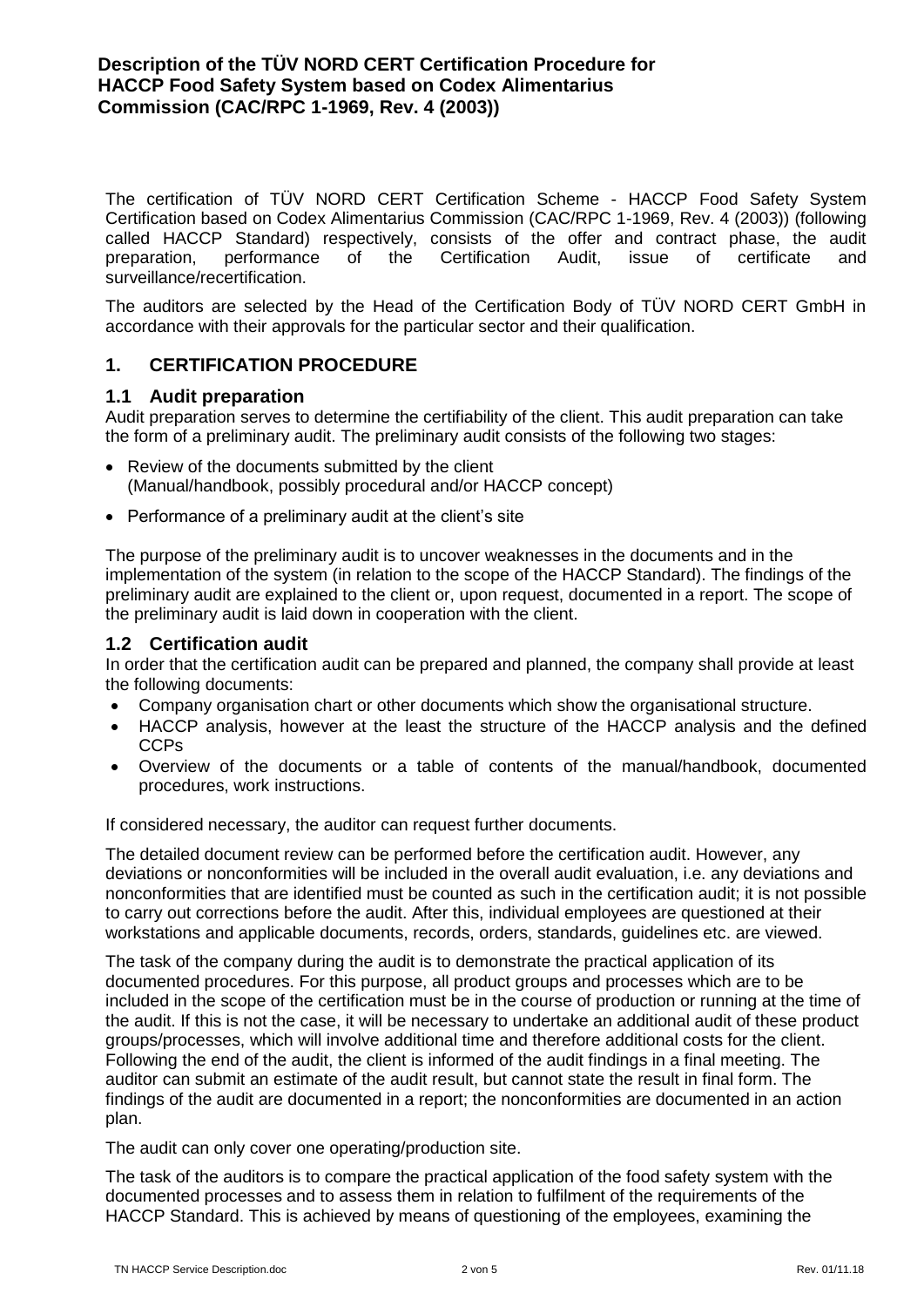The certification of TÜV NORD CERT Certification Scheme - HACCP Food Safety System Certification based on Codex Alimentarius Commission (CAC/RPC 1-1969, Rev. 4 (2003)) (following called HACCP Standard) respectively, consists of the offer and contract phase, the audit preparation, performance of the Certification Audit, issue of certificate and surveillance/recertification.

The auditors are selected by the Head of the Certification Body of TÜV NORD CERT GmbH in accordance with their approvals for the particular sector and their qualification.

# <span id="page-1-0"></span>**1. CERTIFICATION PROCEDURE**

#### <span id="page-1-1"></span>**1.1 Audit preparation**

Audit preparation serves to determine the certifiability of the client. This audit preparation can take the form of a preliminary audit. The preliminary audit consists of the following two stages:

- Review of the documents submitted by the client (Manual/handbook, possibly procedural and/or HACCP concept)
- Performance of a preliminary audit at the client's site

The purpose of the preliminary audit is to uncover weaknesses in the documents and in the implementation of the system (in relation to the scope of the HACCP Standard). The findings of the preliminary audit are explained to the client or, upon request, documented in a report. The scope of the preliminary audit is laid down in cooperation with the client.

### <span id="page-1-2"></span>**1.2 Certification audit**

In order that the certification audit can be prepared and planned, the company shall provide at least the following documents:

- Company organisation chart or other documents which show the organisational structure.
- HACCP analysis, however at the least the structure of the HACCP analysis and the defined CCPs
- Overview of the documents or a table of contents of the manual/handbook, documented procedures, work instructions.

If considered necessary, the auditor can request further documents.

The detailed document review can be performed before the certification audit. However, any deviations or nonconformities will be included in the overall audit evaluation, i.e. any deviations and nonconformities that are identified must be counted as such in the certification audit; it is not possible to carry out corrections before the audit. After this, individual employees are questioned at their workstations and applicable documents, records, orders, standards, guidelines etc. are viewed.

The task of the company during the audit is to demonstrate the practical application of its documented procedures. For this purpose, all product groups and processes which are to be included in the scope of the certification must be in the course of production or running at the time of the audit. If this is not the case, it will be necessary to undertake an additional audit of these product groups/processes, which will involve additional time and therefore additional costs for the client. Following the end of the audit, the client is informed of the audit findings in a final meeting. The auditor can submit an estimate of the audit result, but cannot state the result in final form. The findings of the audit are documented in a report; the nonconformities are documented in an action plan.

The audit can only cover one operating/production site.

The task of the auditors is to compare the practical application of the food safety system with the documented processes and to assess them in relation to fulfilment of the requirements of the HACCP Standard. This is achieved by means of questioning of the employees, examining the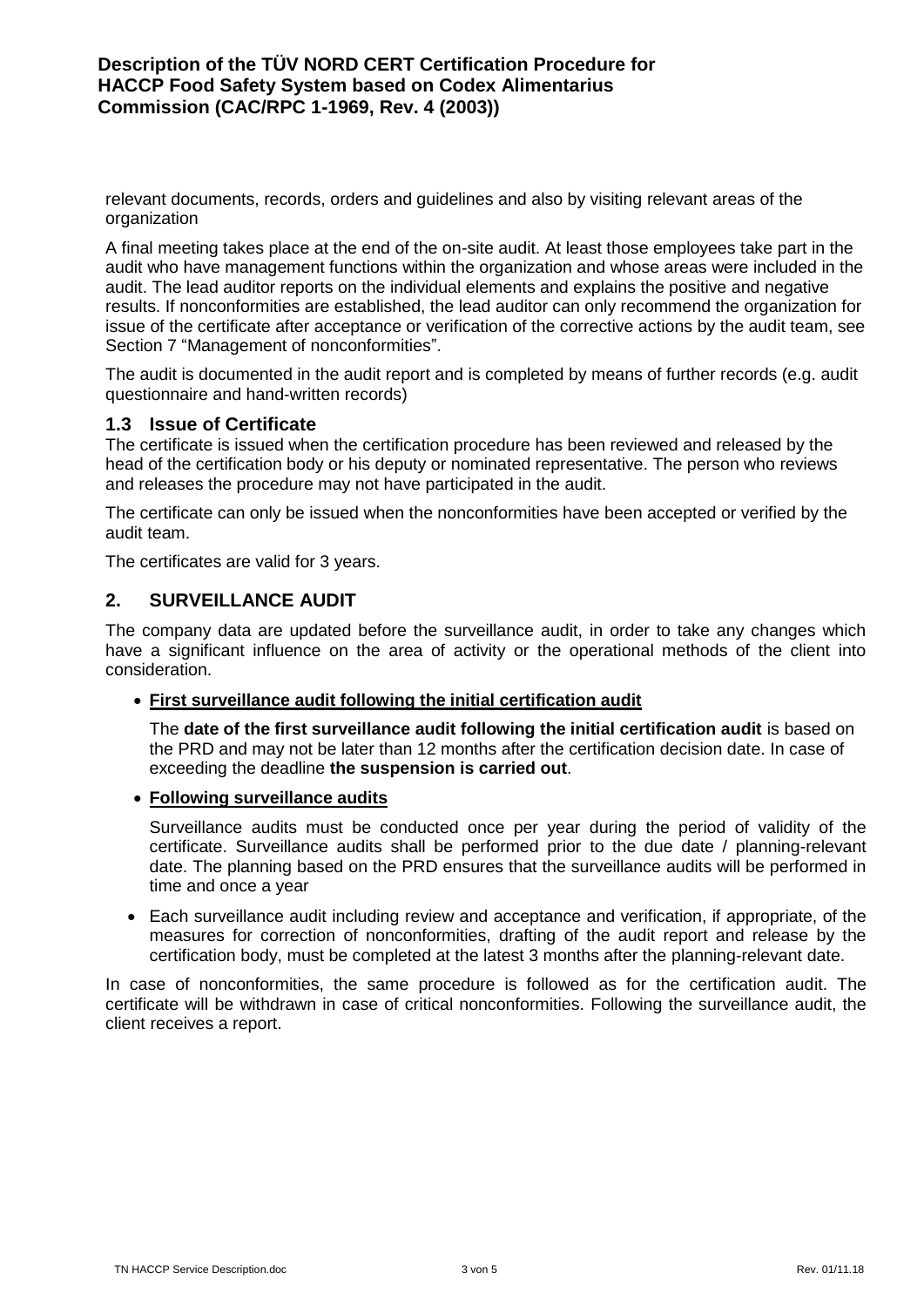relevant documents, records, orders and guidelines and also by visiting relevant areas of the organization

A final meeting takes place at the end of the on-site audit. At least those employees take part in the audit who have management functions within the organization and whose areas were included in the audit. The lead auditor reports on the individual elements and explains the positive and negative results. If nonconformities are established, the lead auditor can only recommend the organization for issue of the certificate after acceptance or verification of the corrective actions by the audit team, see Section 7 "Management of nonconformities".

The audit is documented in the audit report and is completed by means of further records (e.g. audit questionnaire and hand-written records)

### <span id="page-2-0"></span>**1.3 Issue of Certificate**

The certificate is issued when the certification procedure has been reviewed and released by the head of the certification body or his deputy or nominated representative. The person who reviews and releases the procedure may not have participated in the audit.

The certificate can only be issued when the nonconformities have been accepted or verified by the audit team.

The certificates are valid for 3 years.

# <span id="page-2-1"></span>**2. SURVEILLANCE AUDIT**

The company data are updated before the surveillance audit, in order to take any changes which have a significant influence on the area of activity or the operational methods of the client into consideration.

#### **First surveillance audit following the initial certification audit**

The **date of the first surveillance audit following the initial certification audit** is based on the PRD and may not be later than 12 months after the certification decision date. In case of exceeding the deadline **the suspension is carried out**.

#### **Following surveillance audits**

Surveillance audits must be conducted once per year during the period of validity of the certificate. Surveillance audits shall be performed prior to the due date / planning-relevant date. The planning based on the PRD ensures that the surveillance audits will be performed in time and once a year

 Each surveillance audit including review and acceptance and verification, if appropriate, of the measures for correction of nonconformities, drafting of the audit report and release by the certification body, must be completed at the latest 3 months after the planning-relevant date.

In case of nonconformities, the same procedure is followed as for the certification audit. The certificate will be withdrawn in case of critical nonconformities. Following the surveillance audit, the client receives a report.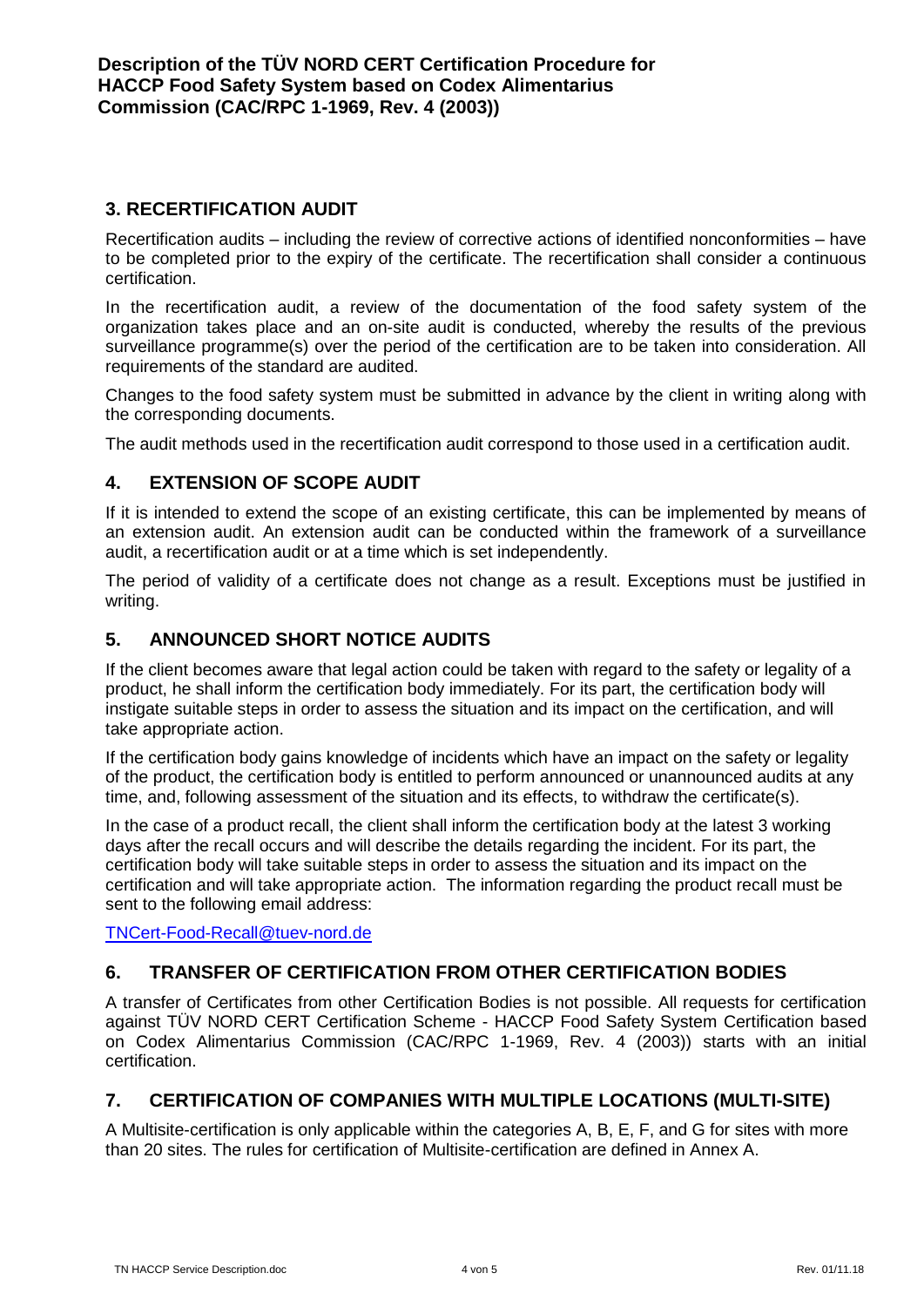# <span id="page-3-0"></span>**3. RECERTIFICATION AUDIT**

Recertification audits – including the review of corrective actions of identified nonconformities – have to be completed prior to the expiry of the certificate. The recertification shall consider a continuous certification.

In the recertification audit, a review of the documentation of the food safety system of the organization takes place and an on-site audit is conducted, whereby the results of the previous surveillance programme(s) over the period of the certification are to be taken into consideration. All requirements of the standard are audited.

Changes to the food safety system must be submitted in advance by the client in writing along with the corresponding documents.

The audit methods used in the recertification audit correspond to those used in a certification audit.

# <span id="page-3-1"></span>**4. EXTENSION OF SCOPE AUDIT**

If it is intended to extend the scope of an existing certificate, this can be implemented by means of an extension audit. An extension audit can be conducted within the framework of a surveillance audit, a recertification audit or at a time which is set independently.

The period of validity of a certificate does not change as a result. Exceptions must be justified in writing.

# <span id="page-3-2"></span>**5. ANNOUNCED SHORT NOTICE AUDITS**

If the client becomes aware that legal action could be taken with regard to the safety or legality of a product, he shall inform the certification body immediately. For its part, the certification body will instigate suitable steps in order to assess the situation and its impact on the certification, and will take appropriate action.

If the certification body gains knowledge of incidents which have an impact on the safety or legality of the product, the certification body is entitled to perform announced or unannounced audits at any time, and, following assessment of the situation and its effects, to withdraw the certificate(s).

In the case of a product recall, the client shall inform the certification body at the latest 3 working days after the recall occurs and will describe the details regarding the incident. For its part, the certification body will take suitable steps in order to assess the situation and its impact on the certification and will take appropriate action. The information regarding the product recall must be sent to the following email address:

[TNCert-Food-Recall@tuev-nord.de](mailto:TNCert-Food-Recall@tuev-nord.de)

# <span id="page-3-3"></span>**6. TRANSFER OF CERTIFICATION FROM OTHER CERTIFICATION BODIES**

A transfer of Certificates from other Certification Bodies is not possible. All requests for certification against TÜV NORD CERT Certification Scheme - HACCP Food Safety System Certification based on Codex Alimentarius Commission (CAC/RPC 1-1969, Rev. 4 (2003)) starts with an initial certification.

# <span id="page-3-4"></span>**7. CERTIFICATION OF COMPANIES WITH MULTIPLE LOCATIONS (MULTI-SITE)**

A Multisite-certification is only applicable within the categories A, B, E, F, and G for sites with more than 20 sites. The rules for certification of Multisite-certification are defined in Annex A.